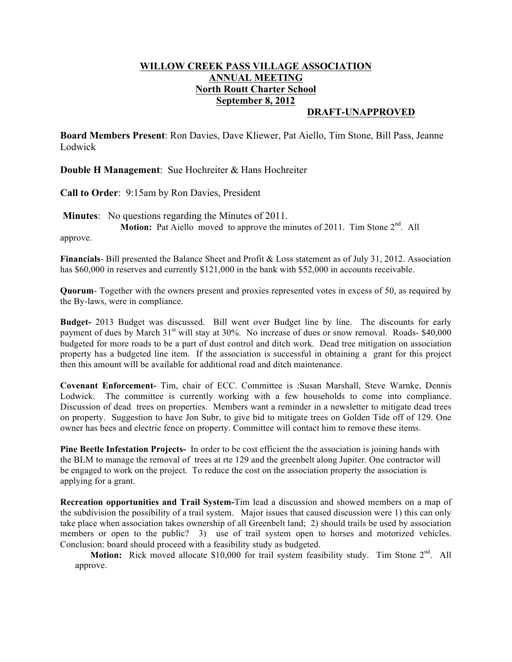## **WILLOW CREEK PASS VILLAGE ASSOCIATION ANNUAL MEETING North Routt Charter School September 8, 2012**

## **DRAFT-UNAPPROVED**

**Board Members Present**: Ron Davies, Dave Kliewer, Pat Aiello, Tim Stone, Bill Pass, Jeanne Lodwick

**Double H Management**: Sue Hochreiter & Hans Hochreiter

**Call to Order**: 9:15am by Ron Davies, President

**Minutes**: No questions regarding the Minutes of 2011. **Motion:** Pat Aiello moved to approve the minutes of 2011. Tim Stone 2<sup>nd</sup>. All

approve.

**Financials**- Bill presented the Balance Sheet and Profit & Loss statement as of July 31, 2012. Association has \$60,000 in reserves and currently \$121,000 in the bank with \$52,000 in accounts receivable.

**Quorum**- Together with the owners present and proxies represented votes in excess of 50, as required by the By-laws, were in compliance.

**Budget-** 2013 Budget was discussed. Bill went over Budget line by line. The discounts for early payment of dues by March  $31<sup>st</sup>$  will stay at  $30<sup>o</sup>$ . No increase of dues or snow removal. Roads- \$40,000 budgeted for more roads to be a part of dust control and ditch work. Dead tree mitigation on association property has a budgeted line item. If the association is successful in obtaining a grant for this project then this amount will be available for additional road and ditch maintenance.

**Covenant Enforcement-** Tim, chair of ECC. Committee is :Susan Marshall, Steve Warnke, Dennis Lodwick. The committee is currently working with a few households to come into compliance. Discussion of dead trees on properties. Members want a reminder in a newsletter to mitigate dead trees on property. Suggestion to have Jon Subr, to give bid to mitigate trees on Golden Tide off of 129. One owner has bees and electric fence on property. Committee will contact him to remove these items.

**Pine Beetle Infestation Projects-** In order to be cost efficient the the association is joining hands with the BLM to manage the removal of trees at rte 129 and the greenbelt along Jupiter. One contractor will be engaged to work on the project. To reduce the cost on the association property the association is applying for a grant.

**Recreation opportunities and Trail System-**Tim lead a discussion and showed members on a map of the subdivision the possibility of a trail system. Major issues that caused discussion were 1) this can only take place when association takes ownership of all Greenbelt land; 2) should trails be used by association members or open to the public? 3) use of trail system open to horses and motorized vehicles. Conclusion: board should proceed with a feasibility study as budgeted.

**Motion:** Rick moved allocate \$10,000 for trail system feasibility study. Tim Stone 2<sup>nd</sup>. All approve.